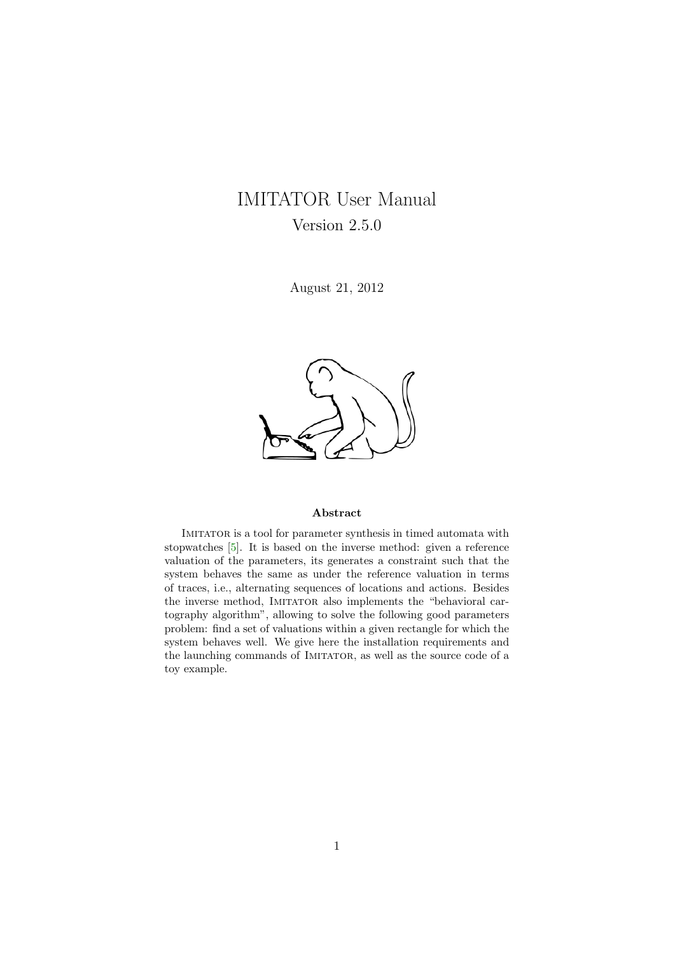# <span id="page-0-0"></span>IMITATOR User Manual Version 2.5.0

August 21, 2012



#### Abstract

Imitator is a tool for parameter synthesis in timed automata with stopwatches [\[5\]](#page-16-0). It is based on the inverse method: given a reference valuation of the parameters, its generates a constraint such that the system behaves the same as under the reference valuation in terms of traces, i.e., alternating sequences of locations and actions. Besides the inverse method, IMITATOR also implements the "behavioral cartography algorithm", allowing to solve the following good parameters problem: find a set of valuations within a given rectangle for which the system behaves well. We give here the installation requirements and the launching commands of IMITATOR, as well as the source code of a toy example.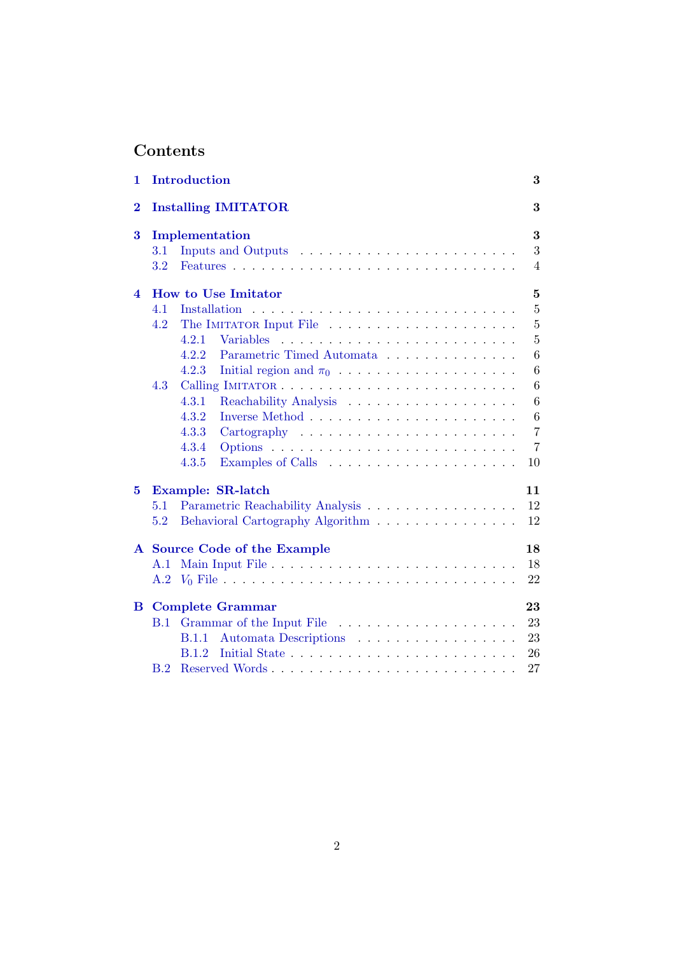# Contents

| 1                        |                         | Introduction                                                                       | 3              |  |  |  |  |  |
|--------------------------|-------------------------|------------------------------------------------------------------------------------|----------------|--|--|--|--|--|
| $\bf{2}$                 |                         | <b>Installing IMITATOR</b><br>3                                                    |                |  |  |  |  |  |
| 3                        | Implementation          |                                                                                    |                |  |  |  |  |  |
|                          | 3.1                     |                                                                                    | 3              |  |  |  |  |  |
|                          | $3.2\,$                 |                                                                                    | $\overline{4}$ |  |  |  |  |  |
| $\overline{\mathcal{A}}$ |                         | $\overline{5}$<br><b>How to Use Imitator</b>                                       |                |  |  |  |  |  |
|                          | 4.1                     | <b>Installation</b>                                                                | $\overline{5}$ |  |  |  |  |  |
|                          | 4.2                     | The IMITATOR Input File                                                            | $\overline{5}$ |  |  |  |  |  |
|                          |                         | 4.2.1<br>Variables                                                                 | $\overline{5}$ |  |  |  |  |  |
|                          |                         | 4.2.2<br>Parametric Timed Automata                                                 | 6              |  |  |  |  |  |
|                          |                         | 4.2.3<br>Initial region and $\pi_0$                                                | 6              |  |  |  |  |  |
|                          | 4.3                     |                                                                                    | 6              |  |  |  |  |  |
|                          |                         | Reachability Analysis<br>4.3.1                                                     | 6              |  |  |  |  |  |
|                          |                         | 4.3.2                                                                              | 6              |  |  |  |  |  |
|                          |                         | 4.3.3<br>$Cartography \dots \dots \dots \dots \dots \dots \dots \dots \dots \dots$ | $\overline{7}$ |  |  |  |  |  |
|                          |                         | 4.3.4                                                                              | $\overline{7}$ |  |  |  |  |  |
|                          |                         | 4.3.5                                                                              | 10             |  |  |  |  |  |
| $\bf{5}$                 | Example: SR-latch<br>11 |                                                                                    |                |  |  |  |  |  |
|                          | 5.1                     | Parametric Reachability Analysis                                                   | 12             |  |  |  |  |  |
|                          | 5.2                     | Behavioral Cartography Algorithm                                                   | 12             |  |  |  |  |  |
| $\mathbf{A}$             |                         | Source Code of the Example                                                         | 18             |  |  |  |  |  |
|                          | A.1                     |                                                                                    | 18             |  |  |  |  |  |
|                          |                         |                                                                                    | 22             |  |  |  |  |  |
| B.                       |                         | <b>Complete Grammar</b>                                                            | 23             |  |  |  |  |  |
|                          | <b>B.1</b>              | Grammar of the Input File                                                          | 23             |  |  |  |  |  |
|                          |                         | Automata Descriptions<br><b>B.1.1</b>                                              | 23             |  |  |  |  |  |
|                          |                         | <b>B.1.2</b>                                                                       | 26             |  |  |  |  |  |
|                          | B.2                     |                                                                                    | 27             |  |  |  |  |  |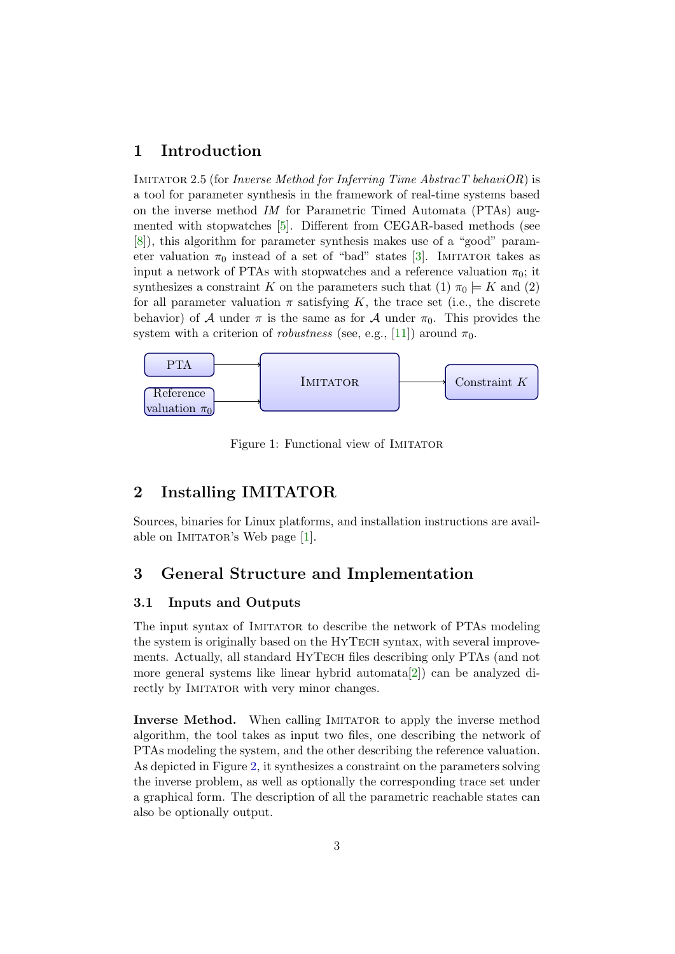# <span id="page-2-4"></span><span id="page-2-0"></span>1 Introduction

IMITATOR 2.5 (for Inverse Method for Inferring Time AbstracT behaviOR) is a tool for parameter synthesis in the framework of real-time systems based on the inverse method IM for Parametric Timed Automata (PTAs) augmented with stopwatches [\[5\]](#page-16-0). Different from CEGAR-based methods (see [\[8\]](#page-16-1)), this algorithm for parameter synthesis makes use of a "good" parameter valuation  $\pi_0$  instead of a set of "bad" states [\[3\]](#page-15-0). IMITATOR takes as input a network of PTAs with stopwatches and a reference valuation  $\pi_0$ ; it synthesizes a constraint K on the parameters such that  $(1)$   $\pi_0 \models K$  and  $(2)$ for all parameter valuation  $\pi$  satisfying K, the trace set (i.e., the discrete behavior) of A under  $\pi$  is the same as for A under  $\pi_0$ . This provides the system with a criterion of *robustness* (see, e.g., [\[11\]](#page-16-2)) around  $\pi_0$ .



Figure 1: Functional view of IMITATOR

# <span id="page-2-1"></span>2 Installing IMITATOR

Sources, binaries for Linux platforms, and installation instructions are avail-able on IMITATOR's Web page [\[1\]](#page-15-1).

# <span id="page-2-2"></span>3 General Structure and Implementation

#### <span id="page-2-3"></span>3.1 Inputs and Outputs

The input syntax of IMITATOR to describe the network of PTAs modeling the system is originally based on the HYTECH syntax, with several improvements. Actually, all standard HyTech files describing only PTAs (and not more general systems like linear hybrid automata[\[2\]](#page-15-2)) can be analyzed directly by IMITATOR with very minor changes.

**Inverse Method.** When calling IMITATOR to apply the inverse method algorithm, the tool takes as input two files, one describing the network of PTAs modeling the system, and the other describing the reference valuation. As depicted in Figure [2,](#page-3-1) it synthesizes a constraint on the parameters solving the inverse problem, as well as optionally the corresponding trace set under a graphical form. The description of all the parametric reachable states can also be optionally output.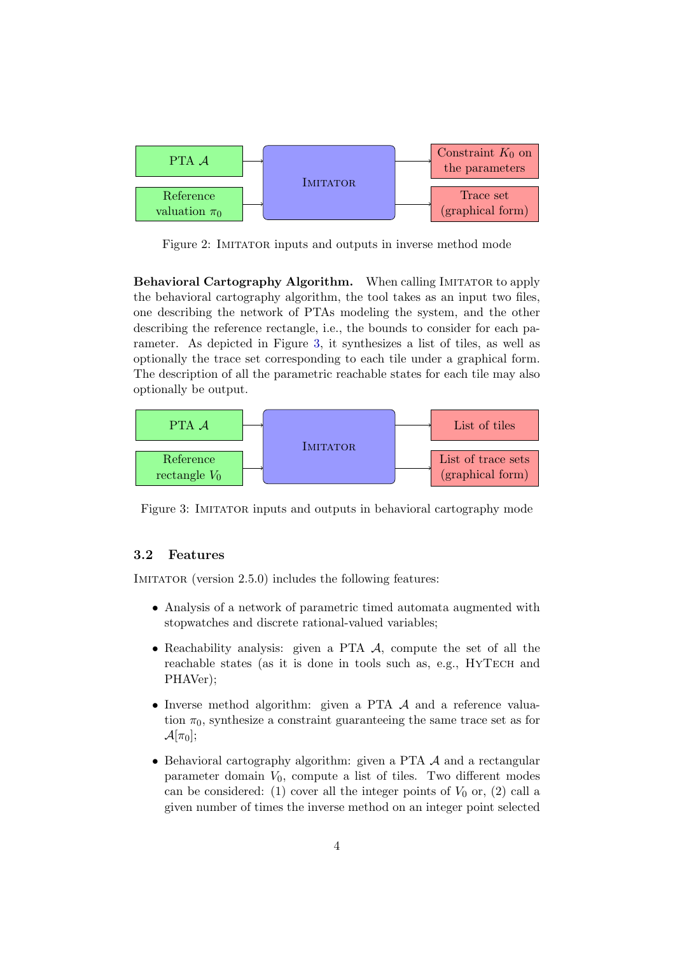

<span id="page-3-1"></span>Figure 2: IMITATOR inputs and outputs in inverse method mode

Behavioral Cartography Algorithm. When calling IMITATOR to apply the behavioral cartography algorithm, the tool takes as an input two files, one describing the network of PTAs modeling the system, and the other describing the reference rectangle, i.e., the bounds to consider for each parameter. As depicted in Figure [3,](#page-3-2) it synthesizes a list of tiles, as well as optionally the trace set corresponding to each tile under a graphical form. The description of all the parametric reachable states for each tile may also optionally be output.



<span id="page-3-2"></span>Figure 3: IMITATOR inputs and outputs in behavioral cartography mode

### <span id="page-3-0"></span>3.2 Features

IMITATOR (version 2.5.0) includes the following features:

- Analysis of a network of parametric timed automata augmented with stopwatches and discrete rational-valued variables;
- Reachability analysis: given a PTA A, compute the set of all the reachable states (as it is done in tools such as, e.g., HYTECH and PHAVer);
- Inverse method algorithm: given a PTA A and a reference valuation  $\pi_0$ , synthesize a constraint guaranteeing the same trace set as for  $\mathcal{A}[\pi_0];$
- Behavioral cartography algorithm: given a PTA A and a rectangular parameter domain  $V_0$ , compute a list of tiles. Two different modes can be considered: (1) cover all the integer points of  $V_0$  or, (2) call a given number of times the inverse method on an integer point selected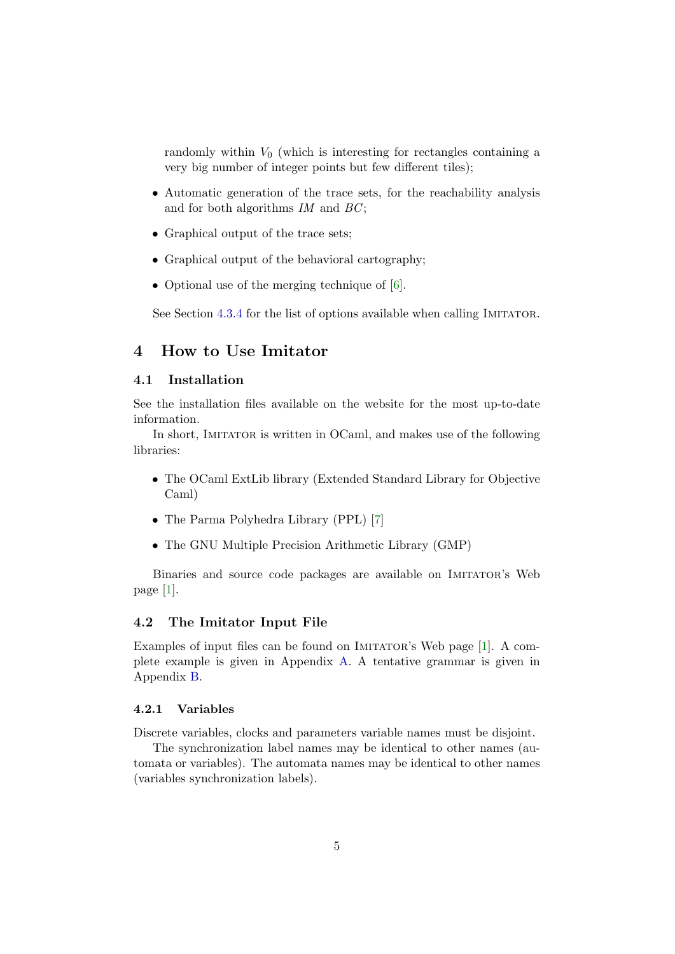<span id="page-4-4"></span>randomly within  $V_0$  (which is interesting for rectangles containing a very big number of integer points but few different tiles);

- Automatic generation of the trace sets, for the reachability analysis and for both algorithms  $IM$  and  $BC$ ;
- Graphical output of the trace sets;
- Graphical output of the behavioral cartography;
- Optional use of the merging technique of  $[6]$ .

See Section [4.3.4](#page-6-1) for the list of options available when calling IMITATOR.

# <span id="page-4-0"></span>4 How to Use Imitator

#### <span id="page-4-1"></span>4.1 Installation

See the installation files available on the website for the most up-to-date information.

In short, IMITATOR is written in OCaml, and makes use of the following libraries:

- The OCaml ExtLib library (Extended Standard Library for Objective Caml)
- The Parma Polyhedra Library (PPL) [\[7\]](#page-16-4)
- The GNU Multiple Precision Arithmetic Library (GMP)

Binaries and source code packages are available on Imitator's Web page [\[1\]](#page-15-1).

#### <span id="page-4-2"></span>4.2 The Imitator Input File

Examples of input files can be found on IMITATOR's Web page [\[1\]](#page-15-1). A complete example is given in Appendix [A.](#page-17-0) A tentative grammar is given in Appendix [B.](#page-22-0)

#### <span id="page-4-3"></span>4.2.1 Variables

Discrete variables, clocks and parameters variable names must be disjoint.

The synchronization label names may be identical to other names (automata or variables). The automata names may be identical to other names (variables synchronization labels).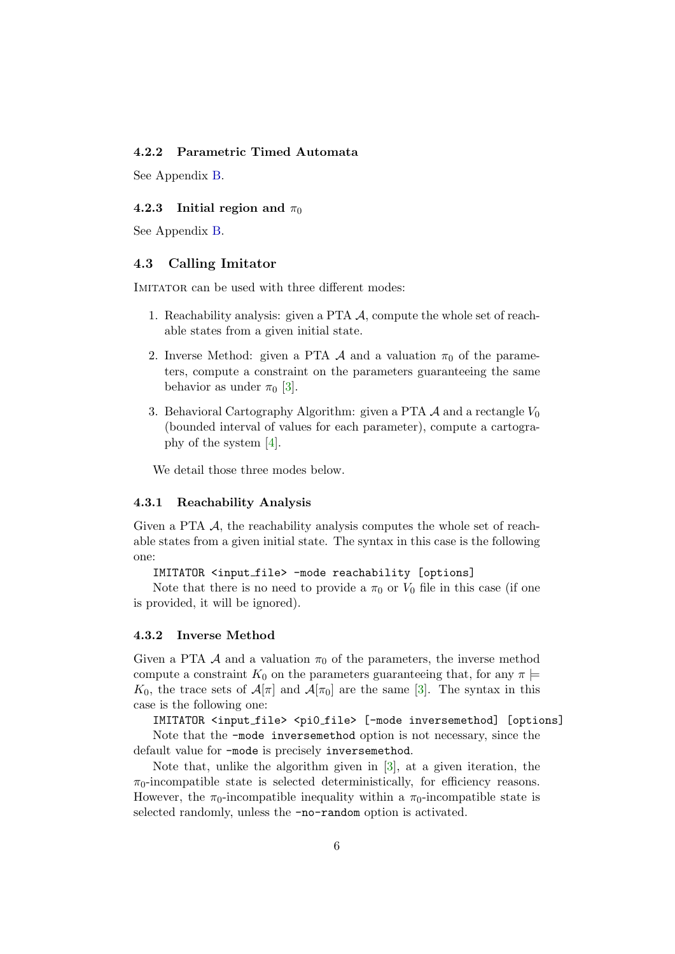#### <span id="page-5-5"></span><span id="page-5-0"></span>4.2.2 Parametric Timed Automata

See Appendix [B.](#page-22-0)

#### <span id="page-5-1"></span>4.2.3 Initial region and  $\pi_0$

See Appendix [B.](#page-22-0)

#### <span id="page-5-2"></span>4.3 Calling Imitator

IMITATOR can be used with three different modes:

- 1. Reachability analysis: given a PTA A, compute the whole set of reachable states from a given initial state.
- 2. Inverse Method: given a PTA A and a valuation  $\pi_0$  of the parameters, compute a constraint on the parameters guaranteeing the same behavior as under  $\pi_0$  [\[3\]](#page-15-0).
- 3. Behavioral Cartography Algorithm: given a PTA  $\mathcal A$  and a rectangle  $V_0$ (bounded interval of values for each parameter), compute a cartography of the system [\[4\]](#page-16-5).

We detail those three modes below.

#### <span id="page-5-3"></span>4.3.1 Reachability Analysis

Given a PTA  $\mathcal{A}$ , the reachability analysis computes the whole set of reachable states from a given initial state. The syntax in this case is the following one:

IMITATOR <input file> -mode reachability [options]

Note that there is no need to provide a  $\pi_0$  or  $V_0$  file in this case (if one is provided, it will be ignored).

#### <span id="page-5-4"></span>4.3.2 Inverse Method

Given a PTA A and a valuation  $\pi_0$  of the parameters, the inverse method compute a constraint  $K_0$  on the parameters guaranteeing that, for any  $\pi \models$ K<sub>0</sub>, the trace sets of  $\mathcal{A}[\pi]$  and  $\mathcal{A}[\pi_0]$  are the same [\[3\]](#page-15-0). The syntax in this case is the following one:

IMITATOR <input\_file> <pi0\_file> [-mode inversemethod] [options]

Note that the -mode inversemethod option is not necessary, since the default value for -mode is precisely inversemethod.

Note that, unlike the algorithm given in [\[3\]](#page-15-0), at a given iteration, the  $\pi_0$ -incompatible state is selected deterministically, for efficiency reasons. However, the  $\pi_0$ -incompatible inequality within a  $\pi_0$ -incompatible state is selected randomly, unless the -no-random option is activated.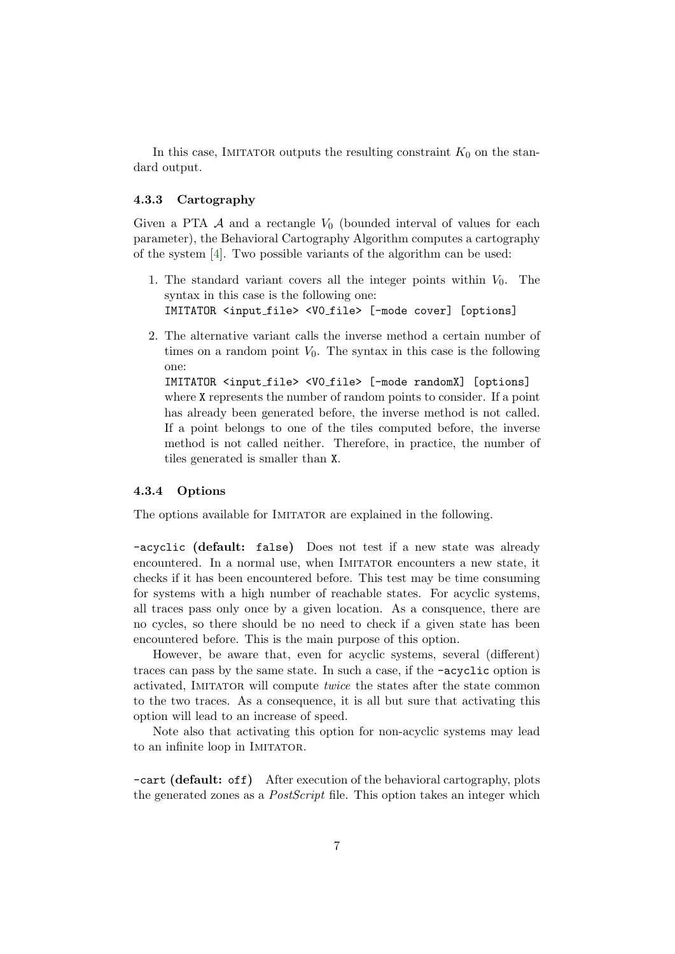<span id="page-6-2"></span>In this case, IMITATOR outputs the resulting constraint  $K_0$  on the standard output.

#### <span id="page-6-0"></span>4.3.3 Cartography

Given a PTA  $\mathcal A$  and a rectangle  $V_0$  (bounded interval of values for each parameter), the Behavioral Cartography Algorithm computes a cartography of the system [\[4\]](#page-16-5). Two possible variants of the algorithm can be used:

- 1. The standard variant covers all the integer points within  $V_0$ . The syntax in this case is the following one: IMITATOR <input file> <V0 file> [-mode cover] [options]
- 2. The alternative variant calls the inverse method a certain number of times on a random point  $V_0$ . The syntax in this case is the following one:

IMITATOR <input file> <V0 file> [-mode randomX] [options] where X represents the number of random points to consider. If a point has already been generated before, the inverse method is not called. If a point belongs to one of the tiles computed before, the inverse method is not called neither. Therefore, in practice, the number of tiles generated is smaller than X.

#### <span id="page-6-1"></span>4.3.4 Options

The options available for IMITATOR are explained in the following.

-acyclic (default: false) Does not test if a new state was already encountered. In a normal use, when IMITATOR encounters a new state, it checks if it has been encountered before. This test may be time consuming for systems with a high number of reachable states. For acyclic systems, all traces pass only once by a given location. As a consquence, there are no cycles, so there should be no need to check if a given state has been encountered before. This is the main purpose of this option.

However, be aware that, even for acyclic systems, several (different) traces can pass by the same state. In such a case, if the -acyclic option is activated, IMITATOR will compute *twice* the states after the state common to the two traces. As a consequence, it is all but sure that activating this option will lead to an increase of speed.

Note also that activating this option for non-acyclic systems may lead to an infinite loop in IMITATOR.

-cart (default: off) After execution of the behavioral cartography, plots the generated zones as a *PostScript* file. This option takes an integer which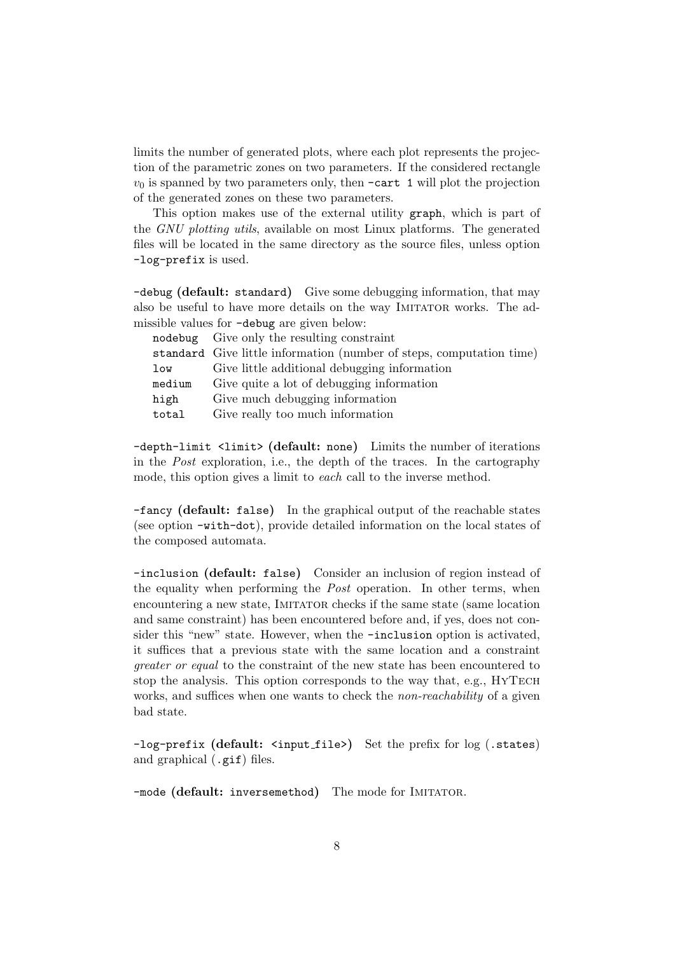limits the number of generated plots, where each plot represents the projection of the parametric zones on two parameters. If the considered rectangle  $v_0$  is spanned by two parameters only, then  $-\text{cart } 1$  will plot the projection of the generated zones on these two parameters.

This option makes use of the external utility graph, which is part of the GNU plotting utils, available on most Linux platforms. The generated files will be located in the same directory as the source files, unless option -log-prefix is used.

-debug (default: standard) Give some debugging information, that may also be useful to have more details on the way Imitator works. The admissible values for -debug are given below:

|        | nodebug Give only the resulting constraint                           |
|--------|----------------------------------------------------------------------|
|        | standard Give little information (number of steps, computation time) |
| low    | Give little additional debugging information                         |
| medium | Give quite a lot of debugging information                            |
| high   | Give much debugging information                                      |
| total  | Give really too much information                                     |

-depth-limit <limit> (default: none) Limits the number of iterations in the Post exploration, i.e., the depth of the traces. In the cartography mode, this option gives a limit to *each* call to the inverse method.

-fancy (default: false) In the graphical output of the reachable states (see option -with-dot), provide detailed information on the local states of the composed automata.

-inclusion (default: false) Consider an inclusion of region instead of the equality when performing the Post operation. In other terms, when encountering a new state, IMITATOR checks if the same state (same location and same constraint) has been encountered before and, if yes, does not consider this "new" state. However, when the -inclusion option is activated, it suffices that a previous state with the same location and a constraint greater or equal to the constraint of the new state has been encountered to stop the analysis. This option corresponds to the way that, e.g., HyTech works, and suffices when one wants to check the *non-reachability* of a given bad state.

-log-prefix (default: <input\_file>) Set the prefix for log (.states) and graphical (.gif) files.

-mode (default: inversemethod) The mode for IMITATOR.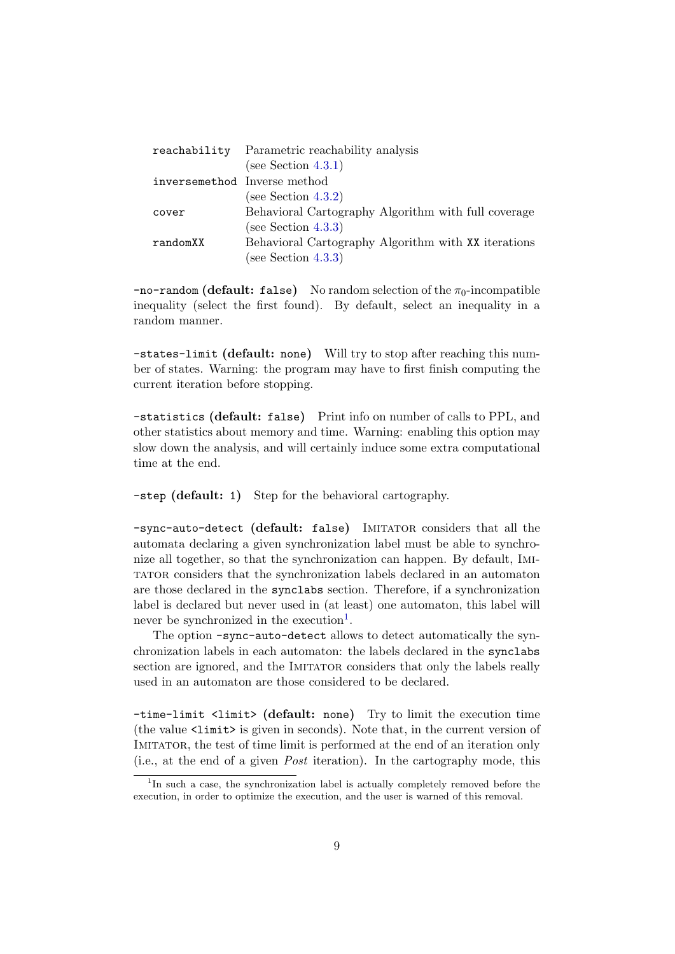|                              | reachability Parametric reachability analysis       |
|------------------------------|-----------------------------------------------------|
|                              | (see Section $4.3.1$ )                              |
| inversemethod Inverse method |                                                     |
|                              | (see Section $4.3.2$ )                              |
| cover                        | Behavioral Cartography Algorithm with full coverage |
|                              | (see Section $4.3.3$ )                              |
| randomXX                     | Behavioral Cartography Algorithm with XX iterations |
|                              | (see Section $4.3.3$ )                              |

 $-$ no-random (default: false) No random selection of the  $\pi_0$ -incompatible inequality (select the first found). By default, select an inequality in a random manner.

-states-limit (default: none) Will try to stop after reaching this number of states. Warning: the program may have to first finish computing the current iteration before stopping.

-statistics (default: false) Print info on number of calls to PPL, and other statistics about memory and time. Warning: enabling this option may slow down the analysis, and will certainly induce some extra computational time at the end.

-step (default: 1) Step for the behavioral cartography.

-sync-auto-detect (default: false) IMITATOR considers that all the automata declaring a given synchronization label must be able to synchronize all together, so that the synchronization can happen. By default, Imitator considers that the synchronization labels declared in an automaton are those declared in the synclabs section. Therefore, if a synchronization label is declared but never used in (at least) one automaton, this label will never be synchronized in the execution<sup>[1](#page-8-0)</sup>.

The option -sync-auto-detect allows to detect automatically the synchronization labels in each automaton: the labels declared in the synclabs section are ignored, and the IMITATOR considers that only the labels really used in an automaton are those considered to be declared.

-time-limit <limit> (default: none) Try to limit the execution time (the value <limit> is given in seconds). Note that, in the current version of IMITATOR, the test of time limit is performed at the end of an iteration only (i.e., at the end of a given Post iteration). In the cartography mode, this

<span id="page-8-0"></span><sup>&</sup>lt;sup>1</sup>In such a case, the synchronization label is actually completely removed before the execution, in order to optimize the execution, and the user is warned of this removal.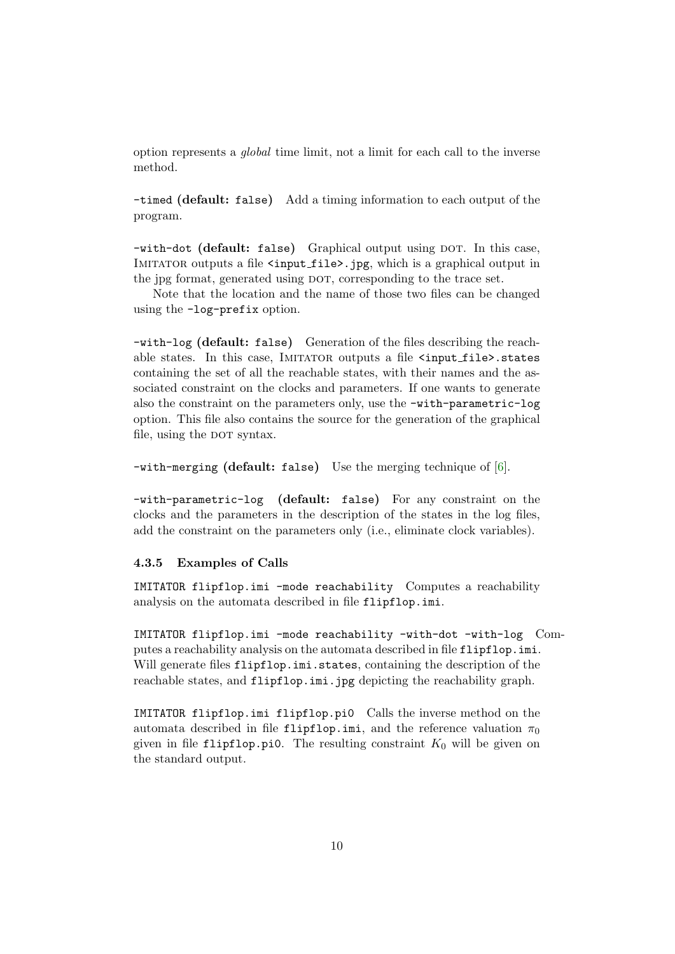<span id="page-9-1"></span>option represents a global time limit, not a limit for each call to the inverse method.

-timed (default: false) Add a timing information to each output of the program.

-with-dot (default: false) Graphical output using DOT. In this case, IMITATOR outputs a file <input\_file>.jpg, which is a graphical output in the jpg format, generated using DOT, corresponding to the trace set.

Note that the location and the name of those two files can be changed using the -log-prefix option.

-with-log (default: false) Generation of the files describing the reachable states. In this case, IMITATOR outputs a file  $\langle \text{input_file}\rangle$ .states containing the set of all the reachable states, with their names and the associated constraint on the clocks and parameters. If one wants to generate also the constraint on the parameters only, use the -with-parametric-log option. This file also contains the source for the generation of the graphical file, using the DOT syntax.

-with-merging (default: false) Use the merging technique of [\[6\]](#page-16-3).

-with-parametric-log (default: false) For any constraint on the clocks and the parameters in the description of the states in the log files, add the constraint on the parameters only (i.e., eliminate clock variables).

#### <span id="page-9-0"></span>4.3.5 Examples of Calls

IMITATOR flipflop.imi -mode reachability Computes a reachability analysis on the automata described in file flipflop.imi.

IMITATOR flipflop.imi -mode reachability -with-dot -with-log Computes a reachability analysis on the automata described in file flipflop.imi. Will generate files flipflop.imi.states, containing the description of the reachable states, and flipflop.imi.jpg depicting the reachability graph.

IMITATOR flipflop.imi flipflop.pi0 Calls the inverse method on the automata described in file flipflop.imi, and the reference valuation  $\pi_0$ given in file flipflop.pi0. The resulting constraint  $K_0$  will be given on the standard output.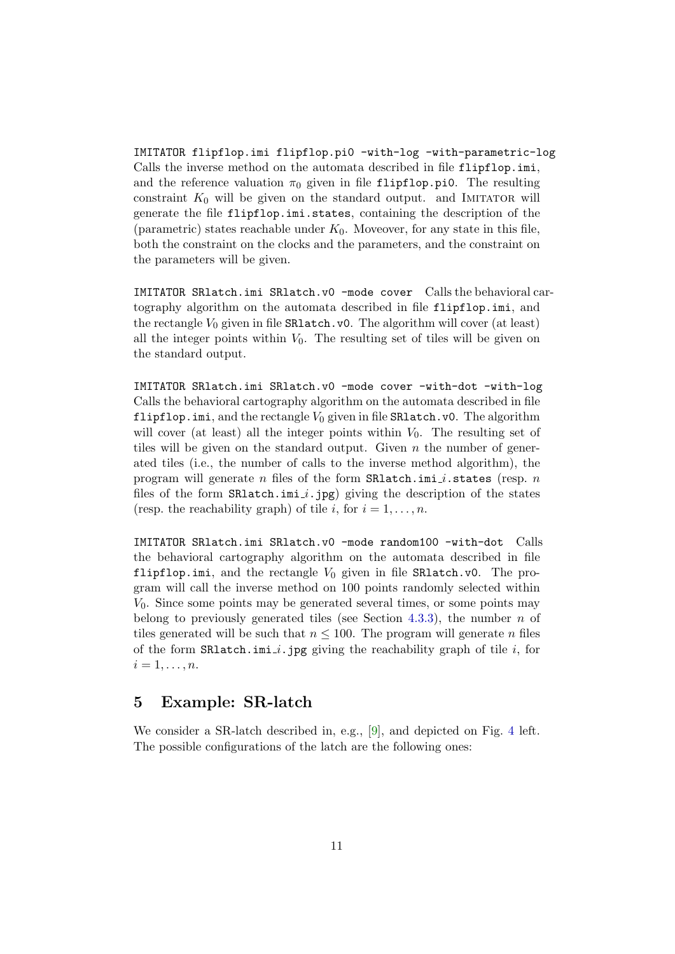<span id="page-10-1"></span>IMITATOR flipflop.imi flipflop.pi0 -with-log -with-parametric-log Calls the inverse method on the automata described in file flipflop.imi, and the reference valuation  $\pi_0$  given in file flipflop.pi0. The resulting constraint  $K_0$  will be given on the standard output. and IMITATOR will generate the file flipflop.imi.states, containing the description of the (parametric) states reachable under  $K_0$ . Moveover, for any state in this file, both the constraint on the clocks and the parameters, and the constraint on the parameters will be given.

IMITATOR SRlatch.imi SRlatch.v0 -mode cover Calls the behavioral cartography algorithm on the automata described in file flipflop.imi, and the rectangle  $V_0$  given in file  $\text{SRlatch.v0.}$  The algorithm will cover (at least) all the integer points within  $V_0$ . The resulting set of tiles will be given on the standard output.

IMITATOR SRlatch.imi SRlatch.v0 -mode cover -with-dot -with-log Calls the behavioral cartography algorithm on the automata described in file flipflop.imi, and the rectangle  $V_0$  given in file SRlatch.v0. The algorithm will cover (at least) all the integer points within  $V_0$ . The resulting set of tiles will be given on the standard output. Given  $n$  the number of generated tiles (i.e., the number of calls to the inverse method algorithm), the program will generate n files of the form  $\texttt{SRlatch.ini}.i.\texttt{states}$  (resp. n files of the form  $SR$ latch.imi *i*.jpg) giving the description of the states (resp. the reachability graph) of tile i, for  $i = 1, \ldots, n$ .

IMITATOR SRlatch.imi SRlatch.v0 -mode random100 -with-dot Calls the behavioral cartography algorithm on the automata described in file flipflop.imi, and the rectangle  $V_0$  given in file SRlatch.v0. The program will call the inverse method on 100 points randomly selected within  $V_0$ . Since some points may be generated several times, or some points may belong to previously generated tiles (see Section [4.3.3\)](#page-6-0), the number  $n$  of tiles generated will be such that  $n \leq 100$ . The program will generate n files of the form  $\texttt{SRIatch.ini}_i$ .jpg giving the reachability graph of tile i, for  $i=1,\ldots,n$ .

# <span id="page-10-0"></span>5 Example: SR-latch

We consider a SR-latch described in, e.g., [\[9\]](#page-16-6), and depicted on Fig. [4](#page-11-2) left. The possible configurations of the latch are the following ones: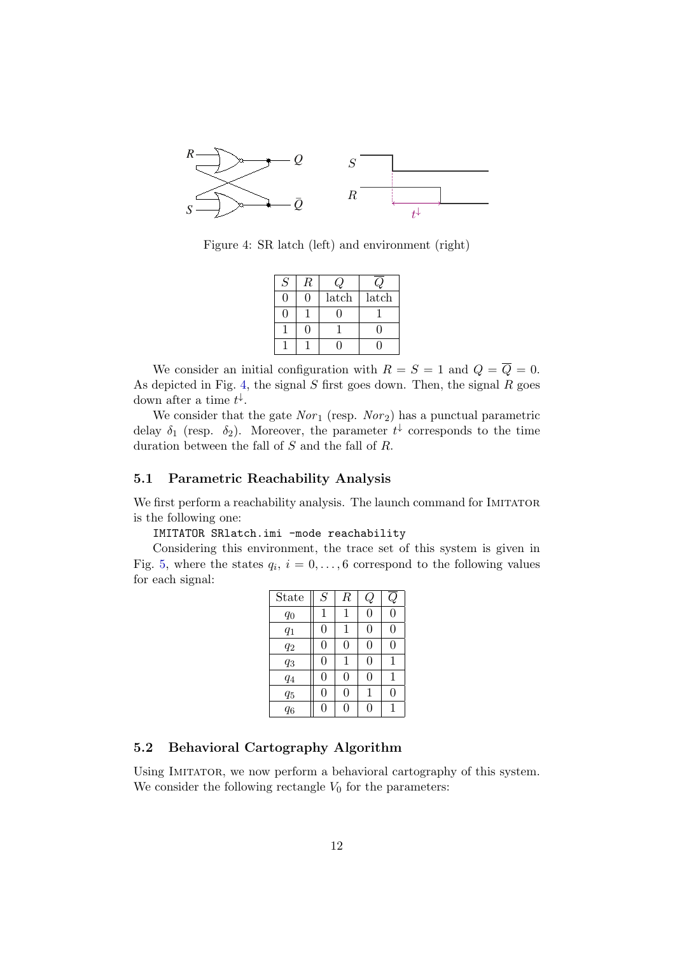

Figure 4: SR latch (left) and environment (right)

<span id="page-11-2"></span>

| S | R |       |       |
|---|---|-------|-------|
|   |   | latch | latch |
|   |   |       |       |
|   |   |       |       |
|   |   |       |       |

We consider an initial configuration with  $R = S = 1$  and  $Q = \overline{Q} = 0$ . As depicted in Fig. [4,](#page-11-2) the signal  $S$  first goes down. Then, the signal  $R$  goes down after a time  $t^{\downarrow}$ .

We consider that the gate  $Nor_1$  (resp.  $Nor_2$ ) has a punctual parametric delay  $\delta_1$  (resp.  $\delta_2$ ). Moreover, the parameter  $t^{\downarrow}$  corresponds to the time duration between the fall of S and the fall of R.

#### <span id="page-11-0"></span>5.1 Parametric Reachability Analysis

We first perform a reachability analysis. The launch command for IMITATOR is the following one:

IMITATOR SRlatch.imi -mode reachability

Considering this environment, the trace set of this system is given in Fig. [5,](#page-12-0) where the states  $q_i$ ,  $i = 0, \ldots, 6$  correspond to the following values for each signal:

| State | S | $\boldsymbol{R}$ | $\mathbf{\mathcal{C}}$ |          |
|-------|---|------------------|------------------------|----------|
| $q_0$ | 1 | 1                | 0                      | 0        |
| $q_1$ | 0 | 1                | 0                      | $\Omega$ |
| $q_2$ | 0 | $\overline{0}$   | 0                      | 0        |
| $q_3$ | 0 | 1                | 0                      | 1        |
| $q_4$ | 0 | $\overline{0}$   | 0                      | 1        |
| $q_5$ | 0 | 0                | 1                      | $\Omega$ |
| $q_6$ | 0 | 0                |                        | 1        |

#### <span id="page-11-1"></span>5.2 Behavioral Cartography Algorithm

Using Imitator, we now perform a behavioral cartography of this system. We consider the following rectangle  $V_0$  for the parameters: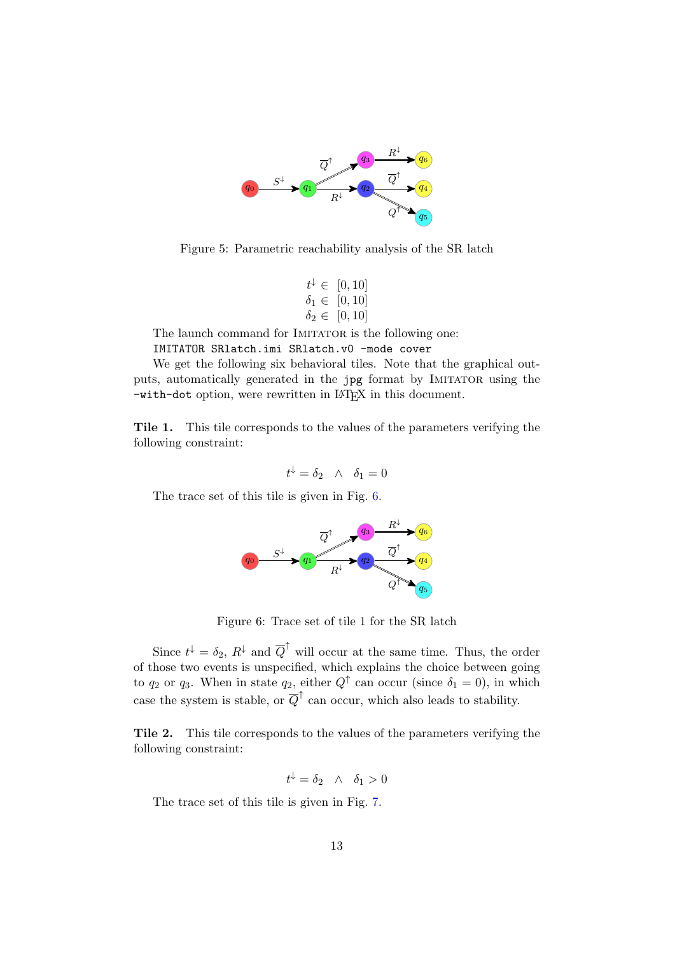

<span id="page-12-0"></span>Figure 5: Parametric reachability analysis of the SR latch

$$
t^{\downarrow} \in [0, 10] \n\delta_1 \in [0, 10] \n\delta_2 \in [0, 10]
$$

The launch command for IMITATOR is the following one:

IMITATOR SRlatch.imi SRlatch.v0 -mode cover

We get the following six behavioral tiles. Note that the graphical outputs, automatically generated in the jpg format by IMITATOR using the -with-dot option, were rewritten in LAT<sub>EX</sub> in this document.

Tile 1. This tile corresponds to the values of the parameters verifying the following constraint:

$$
t^{\downarrow} = \delta_2 \quad \wedge \quad \delta_1 = 0
$$

The trace set of this tile is given in Fig. [6.](#page-12-1)



<span id="page-12-1"></span>Figure 6: Trace set of tile 1 for the SR latch

Since  $t^{\downarrow} = \delta_2$ ,  $R^{\downarrow}$  and  $\overline{Q}^{\uparrow}$  will occur at the same time. Thus, the order of those two events is unspecified, which explains the choice between going to  $q_2$  or  $q_3$ . When in state  $q_2$ , either  $Q^{\uparrow}$  can occur (since  $\delta_1 = 0$ ), in which case the system is stable, or  $\overline{Q}^{\uparrow}$  can occur, which also leads to stability.

Tile 2. This tile corresponds to the values of the parameters verifying the following constraint:

$$
t^{\downarrow} = \delta_2 \quad \wedge \quad \delta_1 > 0
$$

The trace set of this tile is given in Fig. [7.](#page-13-0)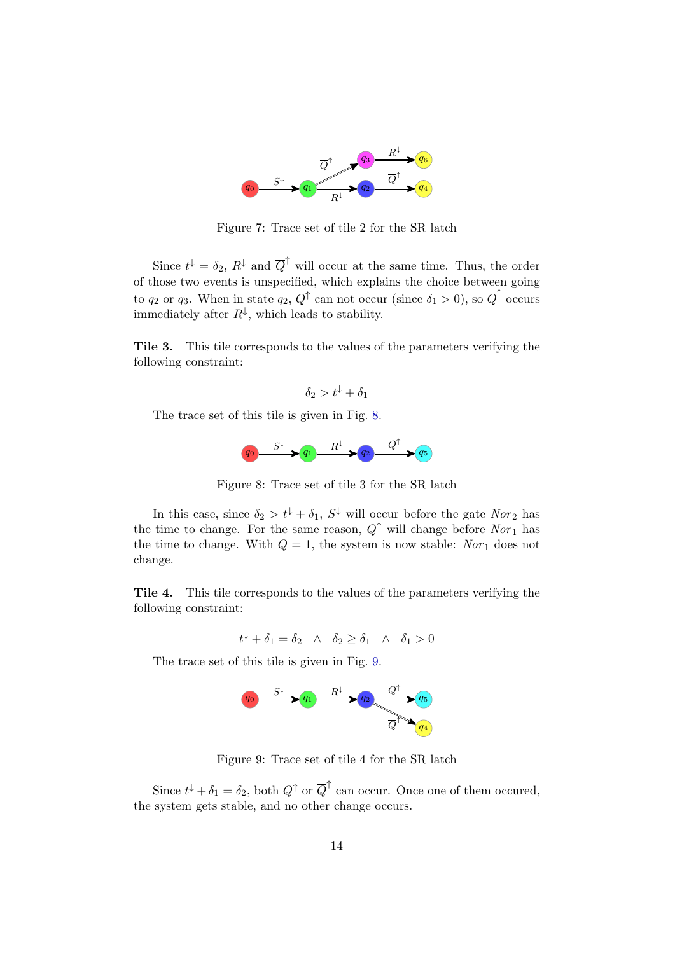

<span id="page-13-0"></span>Figure 7: Trace set of tile 2 for the SR latch

Since  $t^{\downarrow} = \delta_2$ ,  $R^{\downarrow}$  and  $\overline{Q}^{\uparrow}$  will occur at the same time. Thus, the order of those two events is unspecified, which explains the choice between going to  $q_2$  or  $q_3$ . When in state  $q_2, Q^{\uparrow}$  can not occur (since  $\delta_1 > 0$ ), so  $\overline{Q}^{\uparrow}$  occurs immediately after  $R^{\downarrow}$ , which leads to stability.

Tile 3. This tile corresponds to the values of the parameters verifying the following constraint:

 $\delta_2 > t^{\downarrow} + \delta_1$ 

The trace set of this tile is given in Fig. [8.](#page-13-1)

<span id="page-13-1"></span>

Figure 8: Trace set of tile 3 for the SR latch

In this case, since  $\delta_2 > t^{\downarrow} + \delta_1$ ,  $S^{\downarrow}$  will occur before the gate  $Nor_2$  has the time to change. For the same reason,  $Q^{\uparrow}$  will change before  $Nor_{1}$  has the time to change. With  $Q = 1$ , the system is now stable: Nor<sub>1</sub> does not change.

Tile 4. This tile corresponds to the values of the parameters verifying the following constraint:

$$
t^{\downarrow} + \delta_1 = \delta_2 \quad \wedge \quad \delta_2 \ge \delta_1 \quad \wedge \quad \delta_1 > 0
$$

The trace set of this tile is given in Fig. [9.](#page-13-2)



<span id="page-13-2"></span>Figure 9: Trace set of tile 4 for the SR latch

Since  $t^{\downarrow} + \delta_1 = \delta_2$ , both  $Q^{\uparrow}$  or  $\overline{Q}^{\uparrow}$  can occur. Once one of them occured, the system gets stable, and no other change occurs.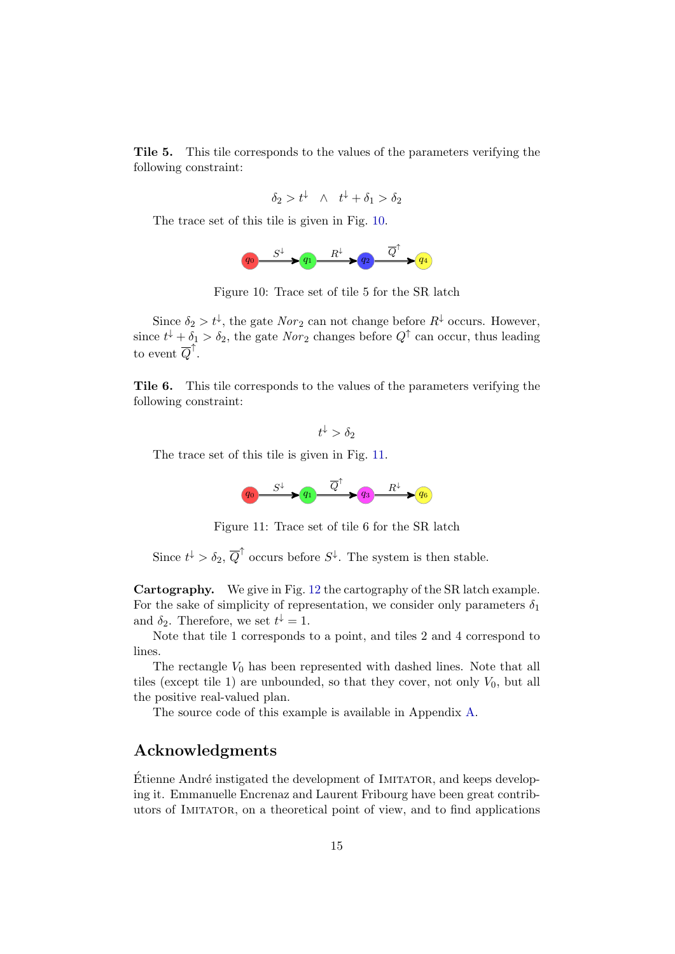Tile 5. This tile corresponds to the values of the parameters verifying the following constraint:

$$
\delta_2 > t^{\downarrow} \quad \wedge \quad t^{\downarrow} + \delta_1 > \delta_2
$$

The trace set of this tile is given in Fig. [10.](#page-14-0)

<span id="page-14-0"></span>

Figure 10: Trace set of tile 5 for the SR latch

Since  $\delta_2 > t^{\downarrow}$ , the gate  $Nor_2$  can not change before  $R^{\downarrow}$  occurs. However, since  $t^{\downarrow} + \delta_1 > \delta_2$ , the gate  $Nor_2$  changes before  $Q^{\uparrow}$  can occur, thus leading to event  $\overline{Q}^{\uparrow}$ .

Tile 6. This tile corresponds to the values of the parameters verifying the following constraint:

 $t^{\downarrow} > \delta_2$ 

The trace set of this tile is given in Fig. [11.](#page-14-1)

<span id="page-14-1"></span>

Figure 11: Trace set of tile 6 for the SR latch

Since  $t^{\downarrow} > \delta_2$ ,  $\overline{Q}^{\uparrow}$  occurs before  $S^{\downarrow}$ . The system is then stable.

Cartography. We give in Fig. [12](#page-15-3) the cartography of the SR latch example. For the sake of simplicity of representation, we consider only parameters  $\delta_1$ and  $\delta_2$ . Therefore, we set  $t^{\downarrow} = 1$ .

Note that tile 1 corresponds to a point, and tiles 2 and 4 correspond to lines.

The rectangle  $V_0$  has been represented with dashed lines. Note that all tiles (except tile 1) are unbounded, so that they cover, not only  $V_0$ , but all the positive real-valued plan.

The source code of this example is available in Appendix [A.](#page-17-0)

# Acknowledgments

Etienne André instigated the development of IMITATOR, and keeps developing it. Emmanuelle Encrenaz and Laurent Fribourg have been great contributors of Imitator, on a theoretical point of view, and to find applications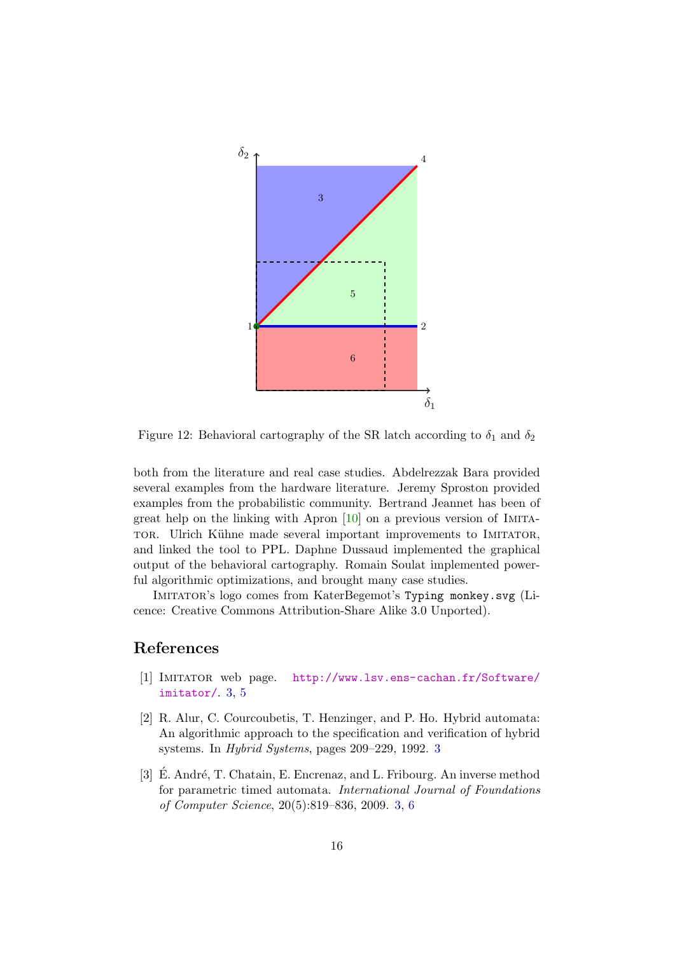<span id="page-15-4"></span>

<span id="page-15-3"></span>Figure 12: Behavioral cartography of the SR latch according to  $\delta_1$  and  $\delta_2$ 

both from the literature and real case studies. Abdelrezzak Bara provided several examples from the hardware literature. Jeremy Sproston provided examples from the probabilistic community. Bertrand Jeannet has been of great help on the linking with Apron [\[10\]](#page-16-7) on a previous version of Imita-TOR. Ulrich Kühne made several important improvements to IMITATOR, and linked the tool to PPL. Daphne Dussaud implemented the graphical output of the behavioral cartography. Romain Soulat implemented powerful algorithmic optimizations, and brought many case studies.

Imitator's logo comes from KaterBegemot's Typing monkey.svg (Licence: Creative Commons Attribution-Share Alike 3.0 Unported).

# References

- <span id="page-15-1"></span>[1] Imitator web page. [http://www.lsv.ens-cachan.fr/Software/](http://www.lsv.ens-cachan.fr/Software/imitator/) [imitator/](http://www.lsv.ens-cachan.fr/Software/imitator/). [3,](#page-2-4) [5](#page-4-4)
- <span id="page-15-2"></span>[2] R. Alur, C. Courcoubetis, T. Henzinger, and P. Ho. Hybrid automata: An algorithmic approach to the specification and verification of hybrid systems. In Hybrid Systems, pages 209–229, 1992. [3](#page-2-4)
- <span id="page-15-0"></span>[3] E. André, T. Chatain, E. Encrenaz, and L. Fribourg. An inverse method for parametric timed automata. International Journal of Foundations of Computer Science, 20(5):819–836, 2009. [3,](#page-2-4) [6](#page-5-5)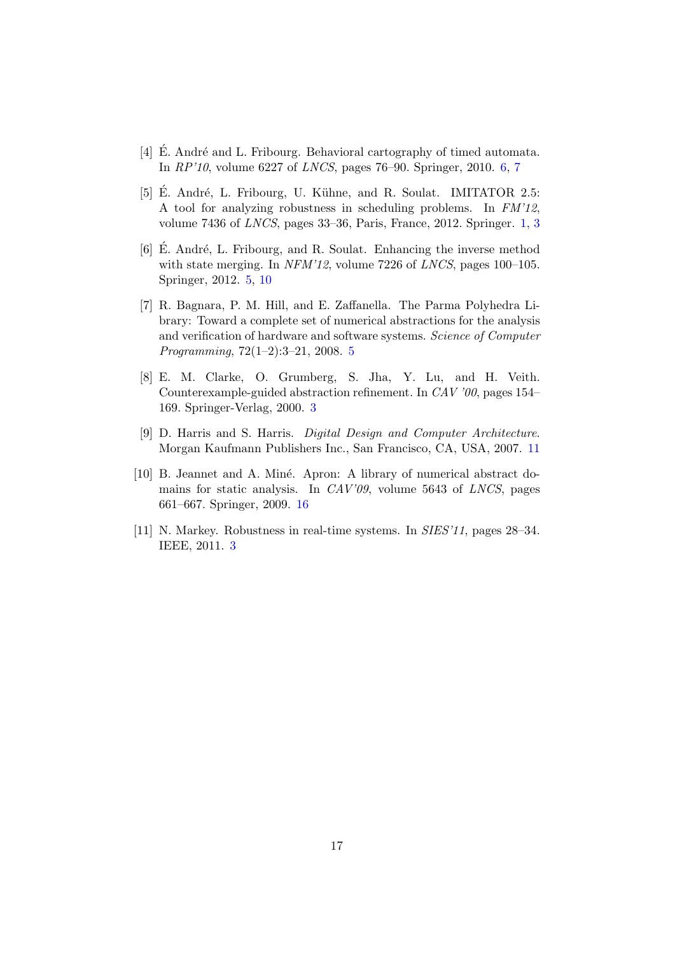- <span id="page-16-5"></span>[4] E. André and L. Fribourg. Behavioral cartography of timed automata. In RP'10, volume 6227 of LNCS, pages 76–90. Springer, 2010. [6,](#page-5-5) [7](#page-6-2)
- <span id="page-16-0"></span>[5] E. André, L. Fribourg, U. Kühne, and R. Soulat. IMITATOR 2.5: A tool for analyzing robustness in scheduling problems. In FM'12, volume 7436 of LNCS, pages 33–36, Paris, France, 2012. Springer. [1,](#page-0-0) [3](#page-2-4)
- <span id="page-16-3"></span>[6]  $\dot{E}$ . André, L. Fribourg, and R. Soulat. Enhancing the inverse method with state merging. In NFM'12, volume 7226 of LNCS, pages 100–105. Springer, 2012. [5,](#page-4-4) [10](#page-9-1)
- <span id="page-16-4"></span>[7] R. Bagnara, P. M. Hill, and E. Zaffanella. The Parma Polyhedra Library: Toward a complete set of numerical abstractions for the analysis and verification of hardware and software systems. Science of Computer Programming, 72(1–2):3–21, 2008. [5](#page-4-4)
- <span id="page-16-1"></span>[8] E. M. Clarke, O. Grumberg, S. Jha, Y. Lu, and H. Veith. Counterexample-guided abstraction refinement. In CAV '00, pages 154– 169. Springer-Verlag, 2000. [3](#page-2-4)
- <span id="page-16-6"></span>[9] D. Harris and S. Harris. Digital Design and Computer Architecture. Morgan Kaufmann Publishers Inc., San Francisco, CA, USA, 2007. [11](#page-10-1)
- <span id="page-16-7"></span>[10] B. Jeannet and A. Miné. Apron: A library of numerical abstract domains for static analysis. In CAV'09, volume 5643 of LNCS, pages 661–667. Springer, 2009. [16](#page-15-4)
- <span id="page-16-2"></span>[11] N. Markey. Robustness in real-time systems. In SIES'11, pages 28–34. IEEE, 2011. [3](#page-2-4)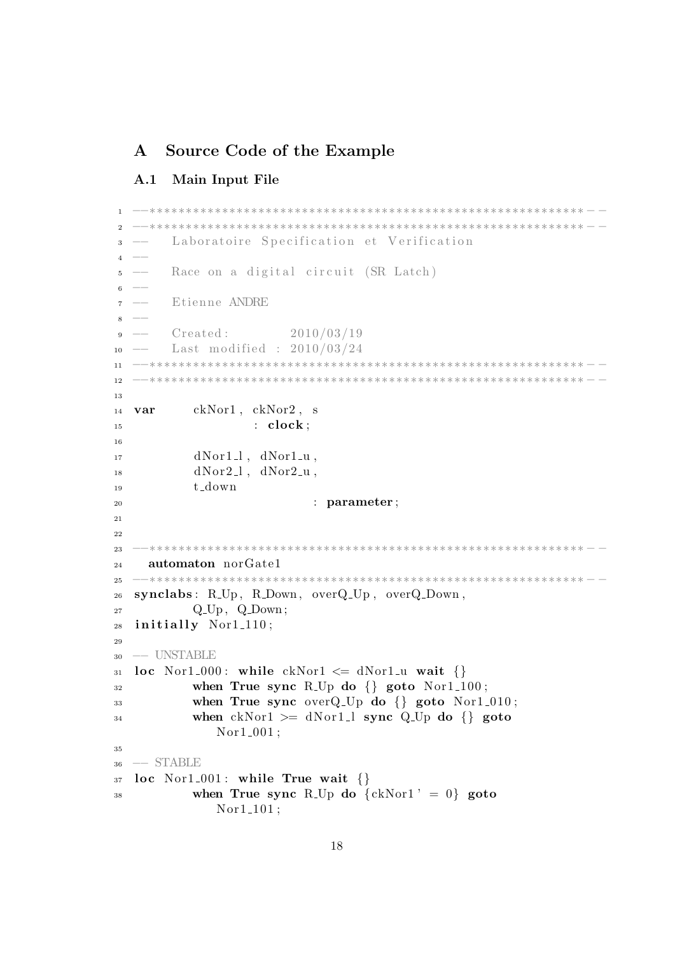# <span id="page-17-0"></span>A Source Code of the Example

### <span id="page-17-1"></span>A.1 Main Input File

```
1 −−∗∗∗∗∗∗∗∗∗∗∗∗∗∗∗∗∗∗∗∗∗∗∗∗∗∗∗∗∗∗∗∗∗∗∗∗∗∗∗∗∗∗∗∗∗∗∗∗∗∗∗∗∗∗∗∗∗∗∗∗ − −
2 −−∗∗∗∗∗∗∗∗∗∗∗∗∗∗∗∗∗∗∗∗∗∗∗∗∗∗∗∗∗∗∗∗∗∗∗∗∗∗∗∗∗∗∗∗∗∗∗∗∗∗∗∗∗∗∗∗∗∗∗∗ − −
        Laboratoire Specification et Verification
4 -5 −− Race on a digital circuit (SR Latch)
6 -7 −− E tienne ANDRE
8 −−
9 \text{ -- } \text{Create: } 2010/03/19_{10} –– Last modified : 2010/03/24
11 −−∗∗∗∗∗∗∗∗∗∗∗∗∗∗∗∗∗∗∗∗∗∗∗∗∗∗∗∗∗∗∗∗∗∗∗∗∗∗∗∗∗∗∗∗∗∗∗∗∗∗∗∗∗∗∗∗∗∗∗∗ − −
12 −−∗∗∗∗∗∗∗∗∗∗∗∗∗∗∗∗∗∗∗∗∗∗∗∗∗∗∗∗∗∗∗∗∗∗∗∗∗∗∗∗∗∗∗∗∗∗∗∗∗∗∗∗∗∗∗∗∗∗∗∗ − −
13
14 var ckNor1 , ckNor2 , s
15 : clock;16
dNor1_l, dNor1_u,
dNor2_l, dNor2_u,
19 t down
<sup>20</sup> : parameter ;
21
22
23 −−∗∗∗∗∗∗∗∗∗∗∗∗∗∗∗∗∗∗∗∗∗∗∗∗∗∗∗∗∗∗∗∗∗∗∗∗∗∗∗∗∗∗∗∗∗∗∗∗∗∗∗∗∗∗∗∗∗∗∗∗ − −
24 automaton norGate1
25 −−∗∗∗∗∗∗∗∗∗∗∗∗∗∗∗∗∗∗∗∗∗∗∗∗∗∗∗∗∗∗∗∗∗∗∗∗∗∗∗∗∗∗∗∗∗∗∗∗∗∗∗∗∗∗∗∗∗∗∗∗ − −
26 synclabs : R Up , R Down , overQ Up , overQ Down ,
27 \qquad \qquad Q\_Up, \quad Q\_Down;28 initially Nor1_110;
29
30 −− UNSTABLE
31 loc Nor1.000: while ckNor1 \leq dNor1 \leq wait \32 when True sync R<sub>-Up</sub> do \{\} goto Nor1<sub>-100</sub>;
33 when True sync overQ-Up do \{\} goto Nor1-010;
34 when ckNor1 >= dNor1_l sync Q_Up do {} goto
              Nor1_001;
35
36 −− STABLE
37 loc Nor1_001: while True wait \{\}38 when True sync R<sub>-Up</sub> do \{ckNor1' = 0\} goto
              Nor1<sub>-101</sub>;
```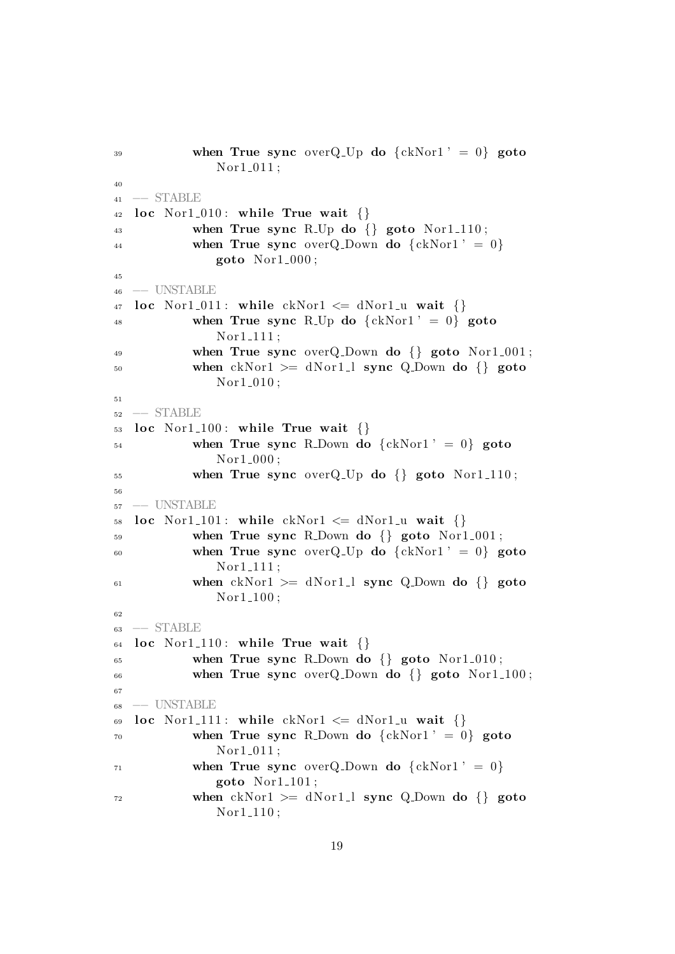```
39 when True sync over Q Up do \{ckNor1' = 0\} goto
              Nor1_011;40
41 −− STABLE
42 loc Nor1_010: while True wait \{\}\43 when True sync R<sub>-Up</sub> do {} goto Nor1<sub>-110</sub>;
44 when True sync over Q_Down do \{ckNor1' = 0\}goto Nor1.000;
45
46 −− UNSTABLE
47 loc Nor1_011: while ckNor1 \leq dNor1 \leq u wait \{\}48 when True sync R<sub>-Up</sub> do \{ckNor1' = 0\} goto
              Nor1_111;49 when True sync overQ-Down do \{ goto Nor1-001;
50 when ckNor1 \geq dNor1 \perp sync Q Down do \{\}\ goto
              Nor1_010;
51
52 −− STABLE
_{53} loc Nor1<sub>-100</sub>: while True wait \{\}54 when True sync R_Down do {ckNor1' = 0} goto
              Nor1_000;_{55} when True sync overQ_Up do \{ goto Nor1_110;
56
57 −− UNSTABLE
58 loc Nor1.101: while ckNor1 \leq dNor1 \leq u wait \{\}\59 when True sync R_Down do \{ goto Nor1_001;
60 when True sync over Q_Up do \{ckNor1' = 0\} goto
              Nor1_111;
61 when ckNor1 \geq dNor1 \perp sync Q Down do \{\}\ goto
              Nor1<sub>-100</sub>;
62
63 −− STABLE
64 loc Nor1_110: while True wait \{\}65 when True sync R_Down do \{ goto Nor1_010;
66 when True sync overQ Down do {} goto Nor1 100 ;
67
68 −− UNSTABLE
69 loc Nor1.111: while ckNor1 \leq dNor1.u wait \{ \}70 when True sync R_Down do \{ckNor1' = 0\} goto
              Nor1_011;
\gamma_1 when True sync over Q Down do \{ckNor1' = 0\}\text{goto Not-101};\gamma<sup>72</sup> when ckNor1 >= dNor1_1 sync Q_Down do {} goto
              Nor1<sub>-110</sub>;
```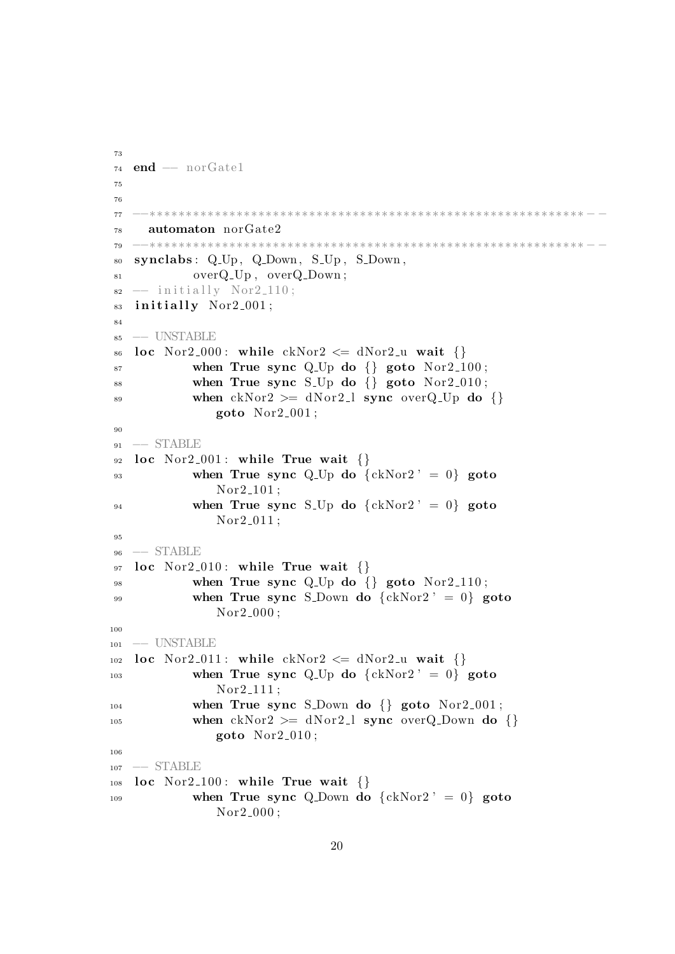```
73
74 end - norGate1
75
76
77 −−∗∗∗∗∗∗∗∗∗∗∗∗∗∗∗∗∗∗∗∗∗∗∗∗∗∗∗∗∗∗∗∗∗∗∗∗∗∗∗∗∗∗∗∗∗∗∗∗∗∗∗∗∗∗∗∗∗∗∗∗ − −
78 automaton norGate2
79 −−∗∗∗∗∗∗∗∗∗∗∗∗∗∗∗∗∗∗∗∗∗∗∗∗∗∗∗∗∗∗∗∗∗∗∗∗∗∗∗∗∗∗∗∗∗∗∗∗∗∗∗∗∗∗∗∗∗∗∗∗ − −
80 synclabs: Q_Up, Q_Down, S_Up, S_Down,
81 overQ_Up, overQ_Down;
s_2 - initially Nor2_110;
83 initially Nor2_001;
84
85 −− UNSTABLE
86 loc Nor2_000: while ckNor2 \leq dNor2_u wait \{\}87 when True sync Q.Up do \{ \} goto Nor2.100;
88 when True sync S<sub>-Up</sub> do {} goto Nor2<sub>-010</sub>;
89 when ckNor2 >= dN o r 2 l sync overQ Up do {}
              goto Nor2_001;
90
91 -- STABLE
92 loc Nor2_001: while True wait \{\}93 when True sync Q.Up do \{ckNor2' = 0\} goto
               Nor2_101;
94 when True sync S<sub>-Up</sub> do \{ckNor2' = 0\} goto
               Nor2_011;95
96 −− STABLE
97 loc Nor2_010: while True wait \{\}\98 when True sync Q-Up do \{ \} goto Nor2-110;
99 when True sync S<sub>-Down</sub> do \{ckNor2' = 0\} goto
               Nor2_000;
100
101 -- UNSTABLE
102 loc Nor2_011: while ckNor2 \leq dNor2_u wait \{\}\103 when True sync Q_Up do \{ckNor2' = 0\} goto
               Nor2-111:_{104} when True sync S_Down do {} goto Nor2_001;
105 when ckNor2 \geq dNor2 \perp l sync overQ_Down do {}
              goto Nor2_010;
106
107 −− STABLE
108 loc Nor2_100: while True wait \{\}109 when True sync Q Down do \{ckNor2' = 0\} goto
               Nor2_000;
```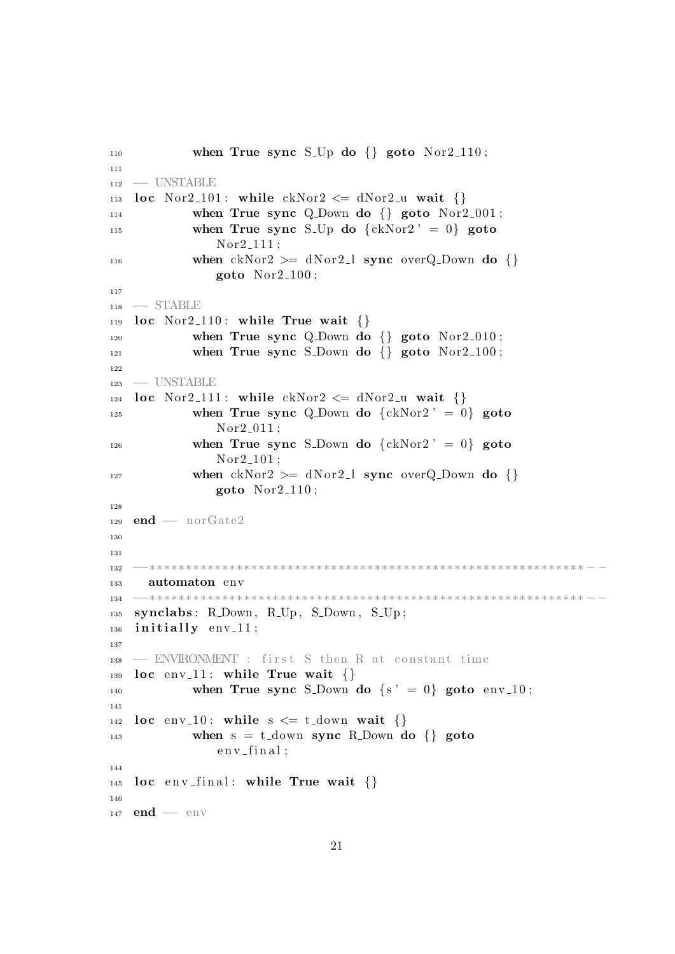```
_{110} when True sync S<sub>-Up</sub> do \{ goto Nor2<sub>-110</sub>;
111
112 −− UNSTABLE
113 loc Nor2_101: while ckNor2 \leq dNor2-u wait \{\}114 when True sync Q.Down do \{ goto Nor2.001;
<sup>115</sup> when True sync S<sub>-Up</sub> do \{ckNor2' = 0\} goto
                Nor2_1111:
116 when ckNor2 \geq dNor2 \perp sync overQ Down do \{\}goto Nor2-100;
117
118 −− STABLE
119 loc Nor2_110: while True wait \{\}120 when True sync Q Down do \{ goto Nor2 010;
121 when True sync S_Down do \{ goto Nor2_100;
122
123 −− UNSTABLE
124 loc Nor2_111: while ckNor2 \leq dNor2-u wait \{\}<sup>125</sup> when True sync Q Down do \{ckNor2' = 0\} goto
                Nor2_011 ;
<sup>126</sup> when True sync S<sub>-Down</sub> do \{ckNor2' = 0\} goto
                Nor2_101 ;
127 when ckNor2 \geq dNor2 \perp sync overQ_Down do {\n}goto Nor2.110;
128
_{129} end - norGate2
130
131
132 −−∗∗∗∗∗∗∗∗∗∗∗∗∗∗∗∗∗∗∗∗∗∗∗∗∗∗∗∗∗∗∗∗∗∗∗∗∗∗∗∗∗∗∗∗∗∗∗∗∗∗∗∗∗∗∗∗∗∗∗∗ − −
133 automaton env
134 −−∗∗∗∗∗∗∗∗∗∗∗∗∗∗∗∗∗∗∗∗∗∗∗∗∗∗∗∗∗∗∗∗∗∗∗∗∗∗∗∗∗∗∗∗∗∗∗∗∗∗∗∗∗∗∗∗∗∗∗∗ − −
135 synclabs: R.Down, R.Up, S.Down, S.Up;
_{136} initially env<sub>-11;</sub>
137
_{138} -− ENVIRONMENT : first S then R at constant time
139 loc env<sub>-11</sub>: while True wait \{\}<sup>140</sup> when True sync S<sub>-Down</sub> do \{s' = 0\} goto env<sub>-10</sub>;
141
142 loc env<sub>-10</sub>: while s \leq t-down wait \{\}143 when s = t_ddown sync R.Down do \{\} goto
                env final;
144
145 loc env-final: while True wait \{\}\146
147 end - env
```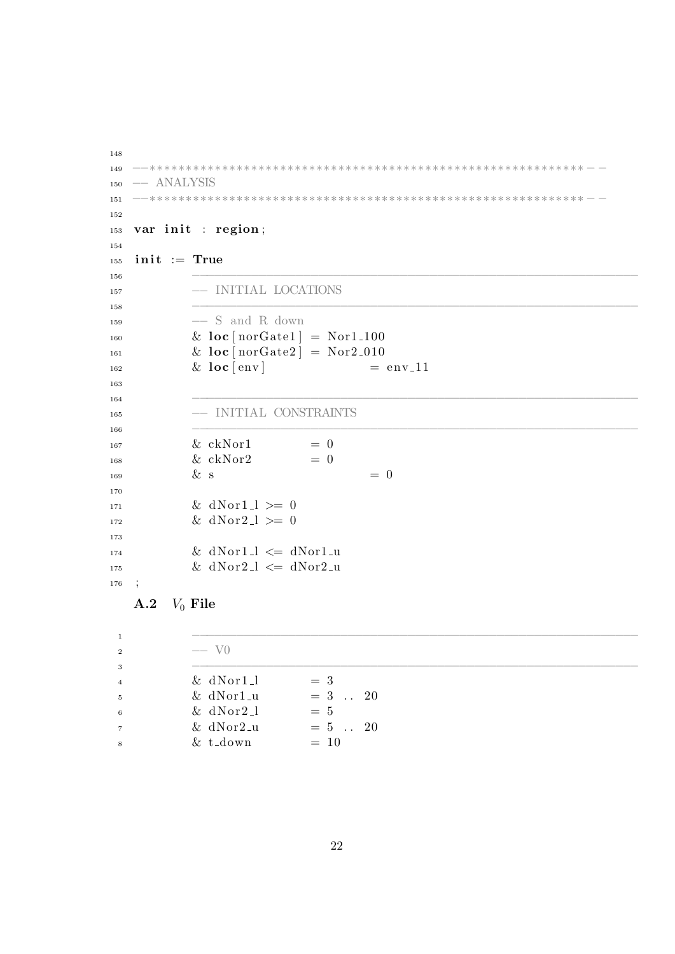```
148
149 −−∗∗∗∗∗∗∗∗∗∗∗∗∗∗∗∗∗∗∗∗∗∗∗∗∗∗∗∗∗∗∗∗∗∗∗∗∗∗∗∗∗∗∗∗∗∗∗∗∗∗∗∗∗∗∗∗∗∗∗∗ − −
150 −− ANALYSIS
151 −−∗∗∗∗∗∗∗∗∗∗∗∗∗∗∗∗∗∗∗∗∗∗∗∗∗∗∗∗∗∗∗∗∗∗∗∗∗∗∗∗∗∗∗∗∗∗∗∗∗∗∗∗∗∗∗∗∗∗∗∗ − −
152
153 var init : region;
154
155 init := True
156 −−−−−−−−−−−−−−−−−−−−−−−−−−−−−−−−−−−−−−−−−−−−−−−−−−−−−−−−−−−−
157 −− INITIAL LOCATIONS
158 −−−−−−−−−−−−−−−−−−−−−−−−−−−−−−−−−−−−−−−−−−−−−−−−−−−−−−−−−−−−
159 −− S and R down
\& loc [norGate1] = Nor1_100
\& \text{loc} [\text{norGate2}] = \text{Nor2}_010\& \text{loc} [\text{env}] = \text{env} \cdot 11163
164 −−−−−−−−−−−−−−−−−−−−−−−−−−−−−−−−−−−−−−−−−−−−−−−−−−−−−−−−−−−−
165 −− INITIAL CONSTRAINTS
166 −−−−−−−−−−−−−−−−−−−−−−−−−−−−−−−−−−−−−−−−−−−−−−−−−−−−−−−−−−−−
\& \cosh 167 = 0168 \hspace{2.5cm} \& \hspace{2.5cm} c \, \mathrm{k} \, \mathrm{N} \, \mathrm{or} \, 2 \hspace{2.5cm} = \, 0\& s \qquad \qquad = 0170
\& dNor1_l >= 0
\& dNor2_l >= 0
173
\text{if } \& \text{ dNor1\_l} \leq \text{ dNor1\_u}\text{or } 2l \leq d \text{Nor2}_{\text{u}}176 ;
```
# <span id="page-21-0"></span>A.2  $V_0$  File

| 1              |                |            |
|----------------|----------------|------------|
| <sup>2</sup>   | $-$ V $\alpha$ |            |
| 3              |                |            |
| $\overline{4}$ | $&$ dNor1_1    | $=$ 3      |
| $\overline{5}$ | $&$ dNor1_u    | $= 3$ . 20 |
| 6              | $& dNor2_l$    | $= 5$      |
| $\overline{7}$ | $& dNor2-u$    | $= 5$ . 20 |
| 8              | $& t_d$        | $= 10$     |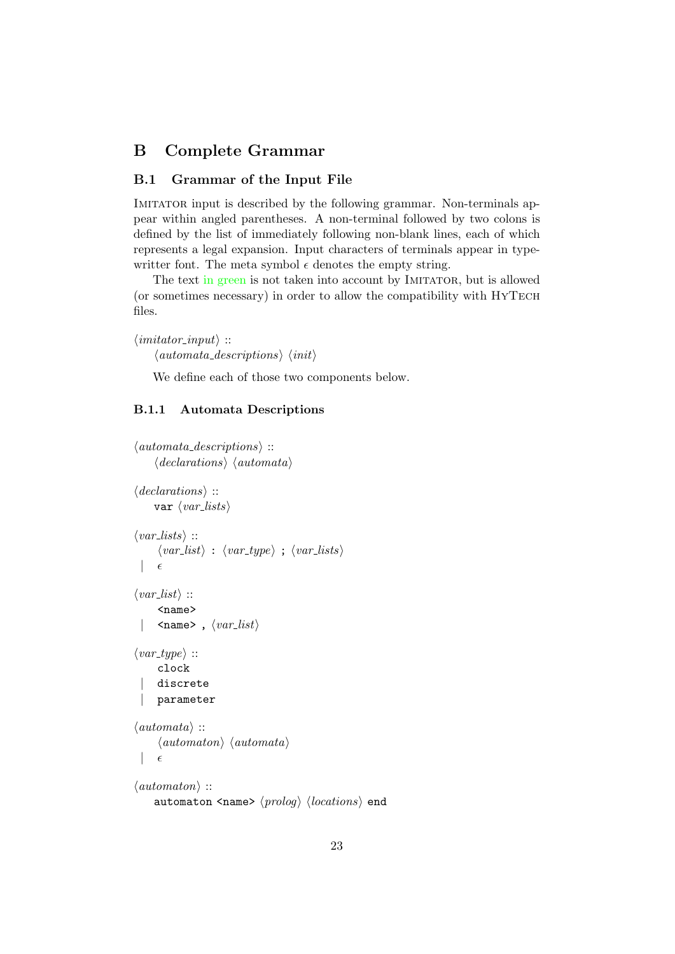# <span id="page-22-0"></span>B Complete Grammar

### <span id="page-22-1"></span>B.1 Grammar of the Input File

IMITATOR input is described by the following grammar. Non-terminals appear within angled parentheses. A non-terminal followed by two colons is defined by the list of immediately following non-blank lines, each of which represents a legal expansion. Input characters of terminals appear in typewritter font. The meta symbol  $\epsilon$  denotes the empty string.

The text in green is not taken into account by IMITATOR, but is allowed (or sometimes necessary) in order to allow the compatibility with HyTech files.

```
\langleimitator_input\rangle ::
       \langle automata\_descriptions \rangle \langle init \rangle
```
We define each of those two components below.

#### <span id="page-22-2"></span>B.1.1 Automata Descriptions

```
\langle automata\_descriptions \rangle ::\langle declarations \rangle \langle automata \rangle\langle declarations \rangle ::
      var \langle var\_lists \rangle\langle var\_lists \rangle ::\langle var\_list \rangle : \langle var\_type \rangle; \langle var\_lists \rangle\epsilon\langle var\_list \rangle ::<name>
        \langlename>, \langle var\_list \rangle\langle var\_type \rangle ::clock
       discrete
       | parameter
\langle automata \rangle ::
        \langleautomaton\rangle \langleautomata\rangle\epsilon\langleautomaton\rangle ::
      automaton <name> \langle prolog \rangle \langle locations \rangle end
```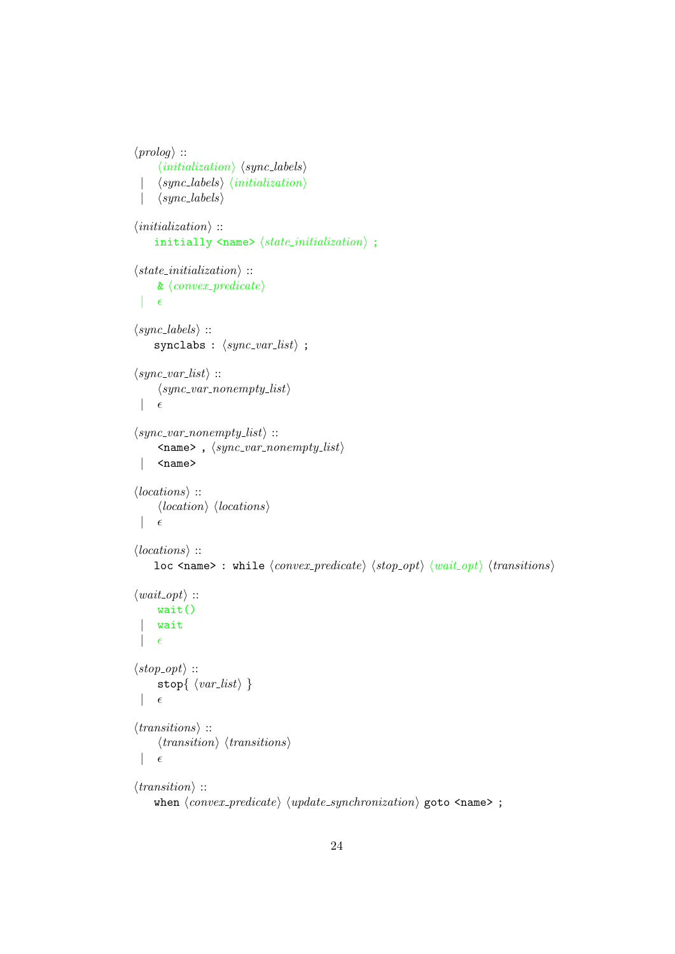```
\langle proboq \rangle ::
        \langle initialization \rangle \langle sync\text{-}labels \rangle\langle sync\text{-}labels \rangle \langle initialization \rangle\langle sync\_labels \rangle\langle initialization \rangle ::initially \langlename> \langle state\_initialization \rangle;
\langle state\_initialization \rangle ::\&\ \langle convex\_predicate \rangle\epsilon\langle sync\_{labels}\rangle ::synclabs : \langle sync\_var\_list \rangle ;
\langle sync\_var\_list \rangle ::\langle sync\_var\_nonempty\_list \rangle\epsilon\langle sync\_var\_nonempty\_list \rangle ::\langlename>, \langle sync\_var\_nonempty\_list \rangle| <name>
\langle locations \rangle ::\langle location \rangle \langle locations \rangle\epsilon\langle locations \rangle ::loc <name> : while \langle convex\_predicate \rangle \langle stop\_opt \rangle \langle wait\_opt \rangle \langle transitions \rangle\langle wait\_opt \rangle ::wait()
       wait
  |\epsilon|\langle stop\_opt \rangle ::stop{ \langle \mathit{var\_list} \rangle }\epsilon\langle transitions \rangle ::
        \langle transition \rangle \langle transitions \rangle\epsilon\langle transition \rangle ::
      when \langle convex\_predicate \rangle \langle update\_synchronization \rangle goto \langle name \rangle;
```

```
24
```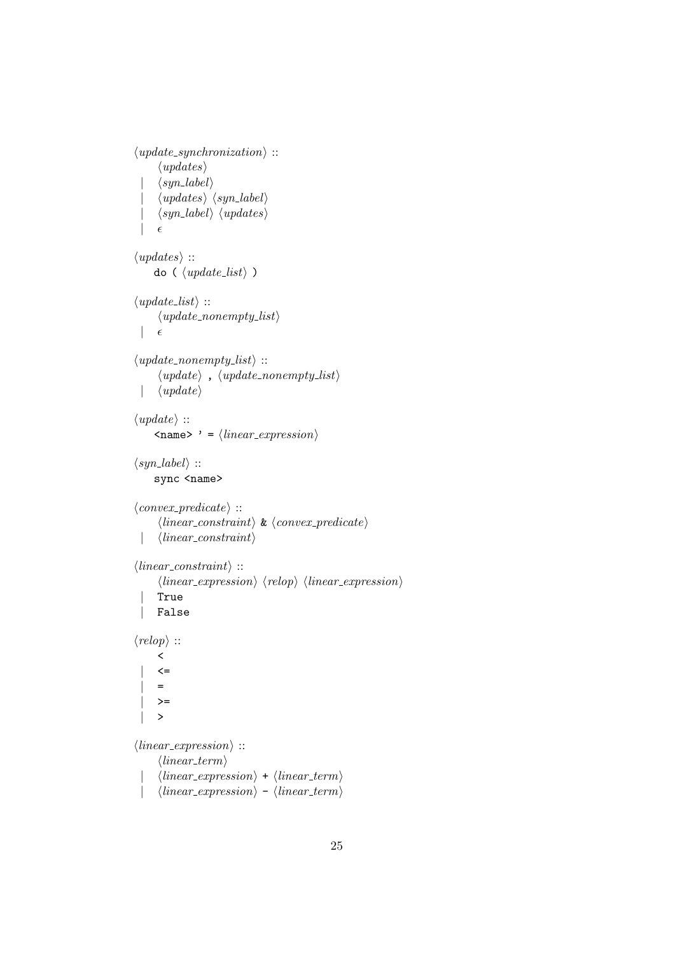```
\langle update\_synchronization \rangle ::\langle updates\rangle\langle syn\_label\rangle\langle up dates \rangle \langle syn\_label \rangle\langle syn\_label\rangle \langle updates\rangle\epsilon\langle updates \rangle ::
      do (\langle update\_list \rangle)
\langle update\_list \rangle ::\langle update\_nonempty\_list \rangle\epsilon\langle update\_nonempty\_list \rangle ::\langle update \rangle, \langle update\_nonempty\_list \rangle\langle update \rangle\langle update \rangle ::\langle name> ' = \langle linear_expression}
\langle syn\_label\rangle ::sync <name>
\langle convex\_predicate \rangle ::\langle linear\_constraint \rangle \& \langle convex\_predicate \rangle| \langle linear\_constraint \rangle\langle linear\_constraint \rangle ::\langle linear_{expression} \rangle \langle relop \rangle \langle linear_{expression} \rangle| True
       | False
\langle \text{relop} \rangle ::
        \overline{\left( \right)}\left\langle =\right\rangle=>=\rightarrow\langle linear_{expression} \rangle ::\langle linear\_term \rangle\langle linear_{expression} \rangle + \langle linear_{term} \rangle| \langle linear\_expression \rangle - \langle linear\_term \rangle
```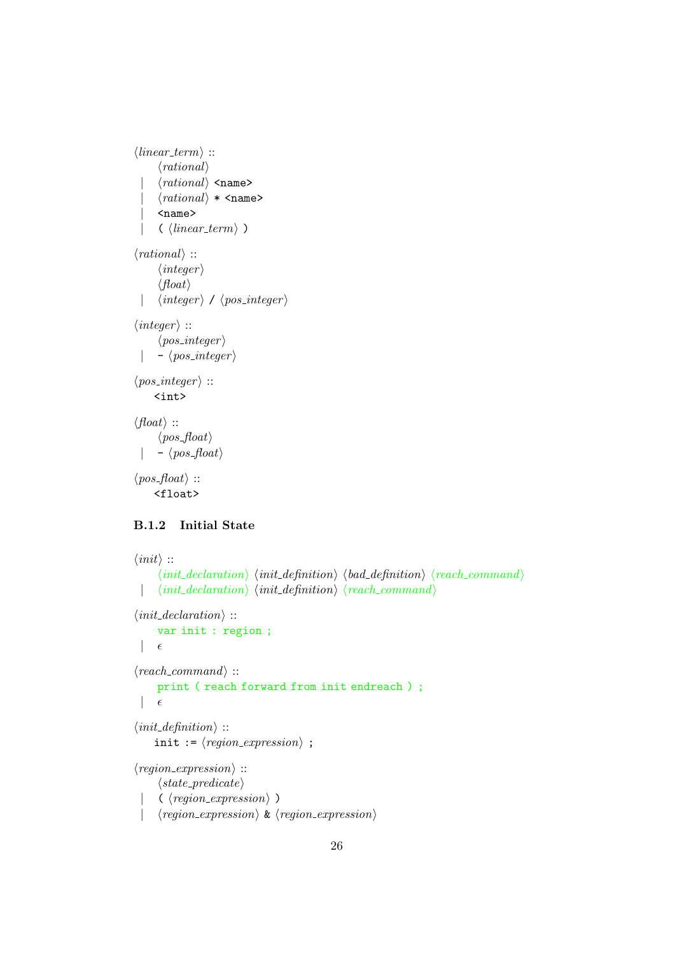```
\langle linear\_term \rangle ::\langle rational \rangle\langle rational \rangle <name>
         \langle rational \rangle * \langle name \rangle| <name>
         \langle \; \langle linear\_term \rangle \; \rangle\langle rational \rangle ::\langleinteger\rangle\langle float \rangle| \langle integer \rangle / \langle pos\_integer \rangle\langle \text{integer} \rangle ::\langle pos\_integer \rangle- \langle pos\_integer \rangle\langle pos\_integer \rangle ::<int>
\langle float \rangle ::\langle pos\_float \rangle- \langle pos_{\tau}float \rangle\langle pos\_float \rangle ::<float>
```
### <span id="page-25-0"></span>B.1.2 Initial State

```
\langle init \rangle ::\langle init\_declaration \rangle \langle init\_definition \rangle \langle bad\_definition \rangle \langle reach\_command \rangle| \langle init\_declaration \rangle \langle init\_definition \rangle \langle reach\_command \rangle\langle init\_declaration \rangle ::var init : region ;
      \epsilon\langle reach\_command \rangle ::print ( reach forward from init endreach ) ;
      \epsilon\langle init\_definition \rangle ::init := \langle region\_expression \rangle ;
\langle region\_expression \rangle ::\langle state\_predicate \rangle\langle \langle region\_expression \rangle)
      \langle region\_expression \rangle \& \langle region\_expression \rangle
```